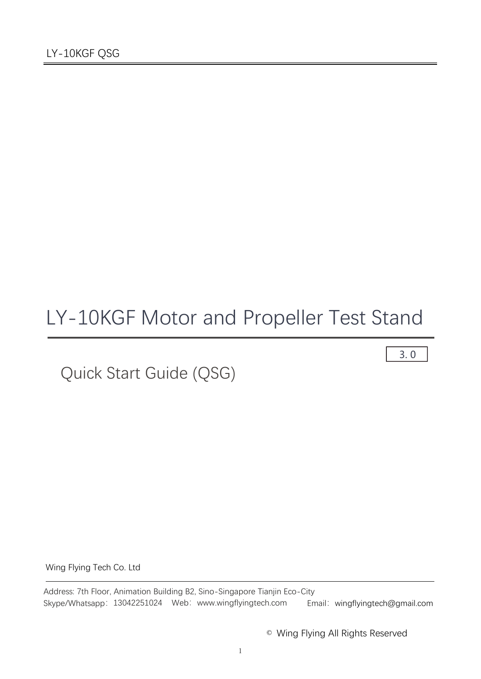# LY-10KGF Motor and Propeller Test Stand

Quick Start Guide (QSG)

3. 0

Wing Flying Tech Co. Ltd

Address: 7th Floor, Animation Building B2, Sino-Singapore Tianjin Eco-City Skype/Whatsapp: 13042251024 Web: www.wingflyingtech.com Email: wingflyingtech@gmail.com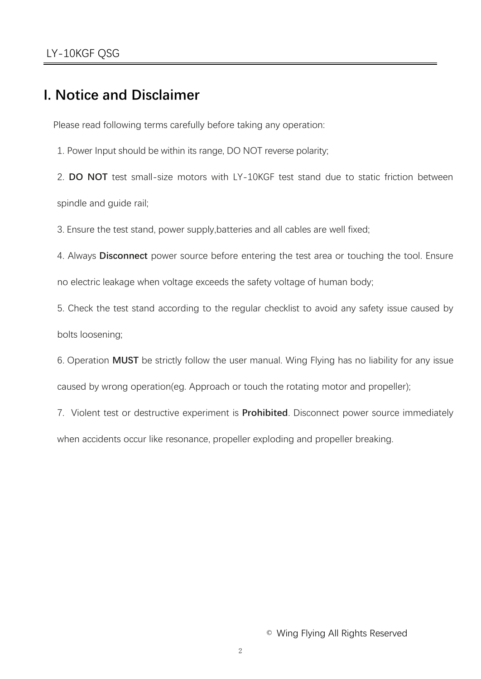## **I. Notice and Disclaimer**

Please read following terms carefully before taking any operation:

1. Power Input should be within its range, DO NOT reverse polarity;

2. **DO NOT** test small-size motors with LY-10KGF test stand due to static friction between spindle and guide rail;

3. Ensure the test stand, power supply,batteries and all cables are well fixed;

4. Always **Disconnect** power source before entering the test area or touching the tool. Ensure no electric leakage when voltage exceeds the safety voltage of human body;

5. Check the test stand according to the regular checklist to avoid any safety issue caused by bolts loosening;

6. Operation **MUST** be strictly follow the user manual. Wing Flying has no liability for any issue caused by wrong operation(eg. Approach or touch the rotating motor and propeller);

7. Violent test or destructive experiment is **Prohibited**. Disconnect power source immediately when accidents occur like resonance, propeller exploding and propeller breaking.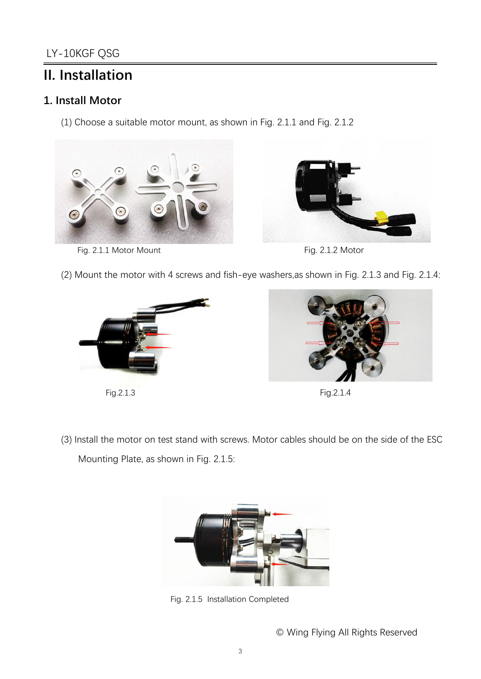# **II. Installation**

#### **1. Install Motor**

(1) Choose a suitable motor mount, as shown in Fig. 2.1.1 and Fig. 2.1.2



Fig. 2.1.1 Motor Mount **Fig. 2.1.2 Motor** 





(2) Mount the motor with 4 screws and fish-eye washers,as shown in Fig. 2.1.3 and Fig. 2.1.4:



Fig.2.1.3 Fig.2.1.4



(3) Install the motor on test stand with screws. Motor cables should be on the side of the ESC Mounting Plate, as shown in Fig. 2.1.5:



Fig. 2.1.5 Installation Completed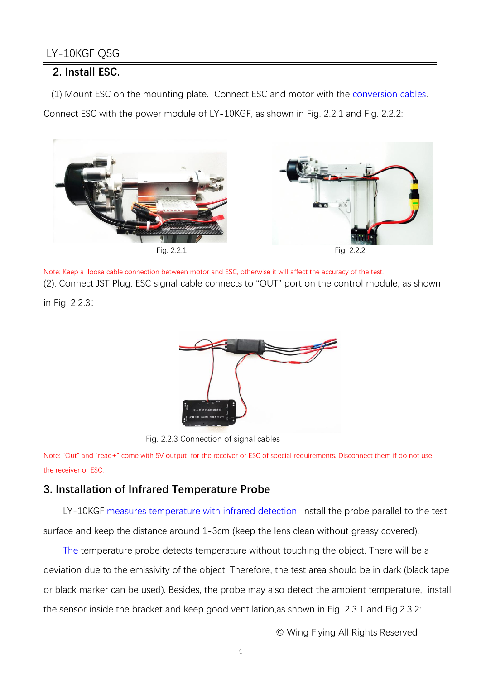#### **2. Install ESC.**

(1) Mount ESC on the mounting plate. Connect ESC and motor with the conversion cables.

Connect ESC with the power module of LY-10KGF, as shown in Fig. 2.2.1 and Fig. 2.2.2:



Note: Keep a loose cable connection between motor and ESC, otherwise it will affect the accuracy of the test. (2). Connect JST Plug. ESC signal cable connects to "OUT" port on the control module, as shown

in Fig. 2.2.3:



Fig. 2.2.3 Connection of signal cables

Note: "Out" and "read+" come with 5V output for the receiver or ESC of special requirements. Disconnect them if do not use the receiver or ESC.

#### **3. Installation of Infrared Temperature Probe**

LY-10KGF measures temperature with infrared detection. Install the probe parallel to the test surface and keep the distance around 1-3cm (keep the lens clean without greasy covered).

The temperature probe detects temperature without touching the object. There will be a deviation due to the emissivity of the object. Therefore, the test area should be in dark (black tape or black marker can be used). Besides, the probe may also detect the ambient temperature, install the sensor inside the bracket and keep good ventilation,as shown in Fig. 2.3.1 and Fig.2.3.2: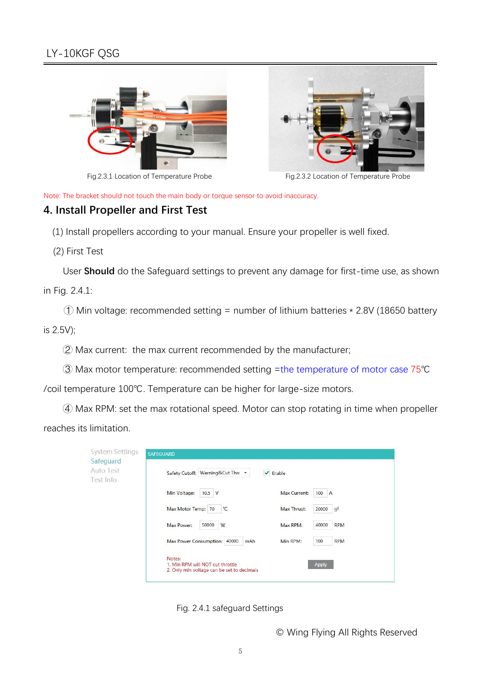



Fig.2.3.1 Location of Temperature Probe Fig.2.3.2 Location of Temperature Probe

Note: The bracket should not touch the main body or torque sensor to avoid inaccuracy.

#### **4. Install Propeller and First Test**

(1) Install propellers according to your manual. Ensure your propeller is well fixed.

(2) First Test

User **Should** do the Safeguard settings to prevent any damage for first-time use, as shown

in Fig. 2.4.1:

 $\odot$  Min voltage: recommended setting = number of lithium batteries  $*$  2.8V (18650 battery is 2.5V);

 $\oslash$  Max current: the max current recommended by the manufacturer;

③ Max motor temperature: recommended setting =the temperature of motor case 75℃

/coil temperature 100℃. Temperature can be higher for large-size motors.

④ Max RPM: set the max rotational speed. Motor can stop rotating in time when propeller reaches its limitation.

| Auto Test<br>est Info | Safety Cutoff: Warning&Cut Thre                                                          | Enable<br>✔                     |
|-----------------------|------------------------------------------------------------------------------------------|---------------------------------|
|                       | Min Voltage:<br>$10.5$ V                                                                 | Max Current:<br>100<br>A        |
|                       | Max Motor Temp: 70<br>$^{\circ}$ C                                                       | gf<br>Max Thrust:<br>20000      |
|                       | Max Power:<br>50000<br>W                                                                 | <b>RPM</b><br>Max RPM:<br>40000 |
|                       | Max Power Consumption:<br>40000<br>mAh                                                   | <b>RPM</b><br>Min RPM:<br>100   |
|                       | Notes:<br>1. Min RPM will NOT cut throttle<br>2. Only min voltage can be set to decimals | Apply                           |

Fig. 2.4.1 safeguard Settings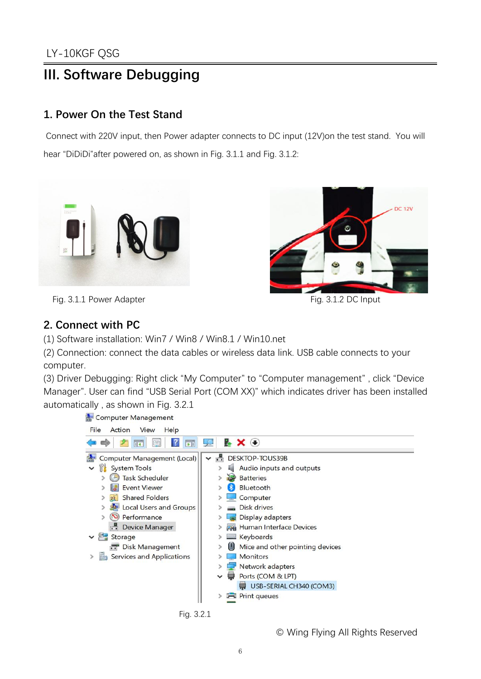# **III. Software Debugging**

#### **1. Power On the Test Stand**

Connect with 220V input, then Power adapter connects to DC input (12V)on the test stand. You will hear "DiDiDi"after powered on, as shown in Fig. 3.1.1 and Fig. 3.1.2:





Fig. 3.1.1 Power Adapter **Fig. 3.1.2 DC** Input

#### **2. Connect with PC**

(1) Software installation: Win7 / Win8 / Win8.1 / Win10.net

(2) Connection: connect the data cables or wireless data link. USB cable connects to your computer.

(3) Driver Debugging: Right click "My Computer" to "Computer management" , click "Device Manager". User can find "USB Serial Port (COM XX)" which indicates driver has been installed automatically , as shown in Fig. 3.2.1

Computer Management



Fig. 3.2.1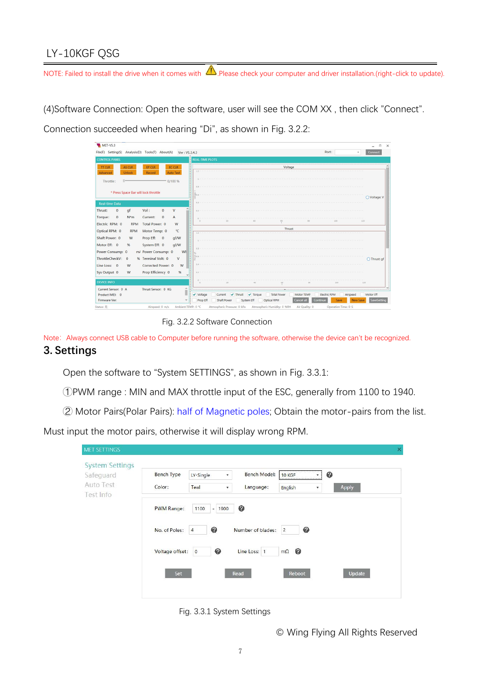## LY-10KGF QSG

NOTE: Failed to install the drive when it comes with  $\bigtriangleup$  Please check your computer and driver installation.(right-click to update).

(4)Software Connection: Open the software, user will see the COM XX, then click "Connect".<br>Connection succeeded when hearing "Di", as shown in Fig. 3.2.2:



Fig. 3.2.2 Software Connection

Note: Always connect USB cable to Computer before running the software, otherwise the device can't be recognized. **3. Settings**

Open the software to "System SETTINGS", as shown in Fig. 3.3.1:

①PWM range : MIN and MAX throttle input of the ESC, generally from 1100 to 1940.

② Motor Pairs(Polar Pairs): half of Magnetic poles; Obtain the motor-pairs from the list.

Must input the motor pairs, otherwise it will display wrong RPM.

| <b>System Settings</b><br>Safeguard | <b>Bench Type</b> | LY-Single<br>$\overline{\mathbf{v}}$ | Bench Model:      | 10 KGF              | 0<br>$\overline{\mathbf v}$     |
|-------------------------------------|-------------------|--------------------------------------|-------------------|---------------------|---------------------------------|
| Auto Test<br>Test Info              | Color:            | Teal<br>$\overline{\phantom{a}}$     | Language:         | English             | Apply<br>$\overline{\mathbf v}$ |
|                                     | <b>PWM Range:</b> | 1100<br>1900<br>$\sim$               | ◉                 |                     |                                 |
|                                     | No. of Poles:     | ◉<br>$\overline{4}$                  | Number of blades: | ◉<br>$\overline{c}$ |                                 |
|                                     | Voltage offset:   | ◎<br>$\overline{0}$                  | Line Loss: 1      | ◉<br>$m\Omega$      |                                 |
|                                     | Set               |                                      | Read              | Reboot              | Update                          |

Fig. 3.3.1 System Settings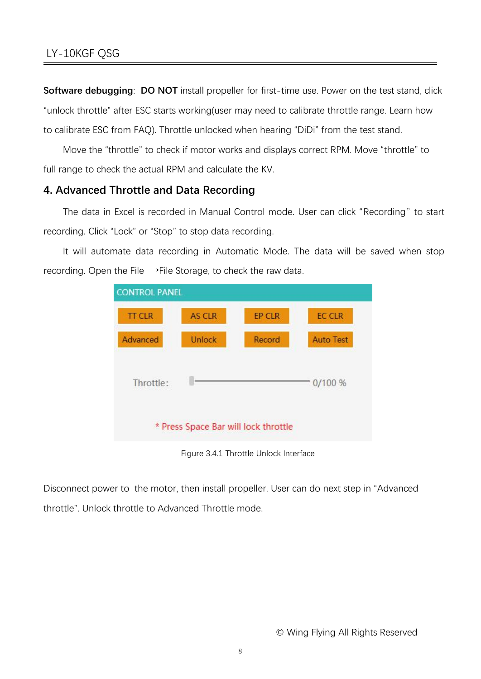**Software debugging: DO NOT** install propeller for first-time use. Power on the test stand, click "unlock throttle" after ESC starts working(user may need to calibrate throttle range. Learn how to calibrate ESC from FAQ). Throttle unlocked when hearing "DiDi" from the test stand.

Move the "throttle" to check if motor works and displays correct RPM. Move "throttle" to full range to check the actual RPM and calculate the KV.

#### **4. Advanced Throttle and Data Recording**

The data in Excel is recorded in Manual Control mode. User can click "Recording" to start recording. Click "Lock" or "Stop" to stop data recording.

It will automate data recording in Automatic Mode. The data will be saved when stop recording. Open the File →File Storage, to check the raw data.



Figure 3.4.1 Throttle Unlock Interface

Disconnect power to the motor, then install propeller. User can do next step in "Advanced throttle". Unlock throttle to Advanced Throttle mode.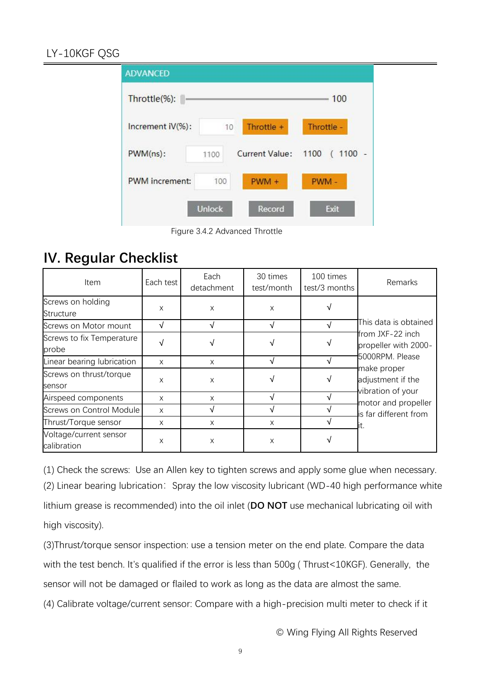### LY-10KGF QSG

| <b>ADVANCED</b>       |               |                       |                   |
|-----------------------|---------------|-----------------------|-------------------|
| Throttle(%):          |               |                       | 100               |
| Increment iV(%):      | 10            | Throttle +            | Throttle -        |
| $PWM(ns)$ :           | 1100          | <b>Current Value:</b> | $(1100 -$<br>1100 |
| <b>PWM</b> increment: | 100           | $PWM +$               | PWM-              |
|                       | <b>Unlock</b> | Record                | Exit              |

Figure 3.4.2 Advanced Throttle

# **IV. Regular Checklist**

| Item                                  | Each test | Each<br>detachment | 30 times<br>test/month | 100 times<br>test/3 months | Remarks                                                                                                                                                                                       |
|---------------------------------------|-----------|--------------------|------------------------|----------------------------|-----------------------------------------------------------------------------------------------------------------------------------------------------------------------------------------------|
| Screws on holding<br>Structure        | X         | $\times$           | X                      |                            | This data is obtained<br>from JXF-22 inch<br>propeller with 2000-<br>5000RPM. Please<br>make proper<br>adjustment if the<br>vibration of your<br>motor and propeller<br>is far different from |
| Screws on Motor mount                 | √         |                    | ٦                      |                            |                                                                                                                                                                                               |
| Screws to fix Temperature<br>probe    |           | √                  |                        |                            |                                                                                                                                                                                               |
| Linear bearing lubrication            | X         | X                  |                        |                            |                                                                                                                                                                                               |
| Screws on thrust/torque<br>sensor     | X         | $\times$           |                        |                            |                                                                                                                                                                                               |
| Airspeed components                   | X         | X                  |                        |                            |                                                                                                                                                                                               |
| Screws on Control Module              | X         |                    |                        |                            |                                                                                                                                                                                               |
| Thrust/Torque sensor                  | X         | X                  | X                      |                            |                                                                                                                                                                                               |
| Voltage/current sensor<br>calibration | X         | X                  | X                      |                            |                                                                                                                                                                                               |

(1) Check the screws: Use an Allen key to tighten screws and apply some glue when necessary. (2) Linear bearing lubrication: Spray the low viscosity lubricant (WD-40 high performance white lithium grease is recommended) into the oil inlet (**DO NOT** use mechanical lubricating oil with high viscosity).

(3)Thrust/torque sensor inspection: use a tension meter on the end plate. Compare the data with the test bench. It's qualified if the error is less than 500g ( Thrust<10KGF). Generally, the sensor will not be damaged or flailed to work as long as the data are almost the same.

(4) Calibrate voltage/current sensor: Compare with a high-precision multi meter to check if it